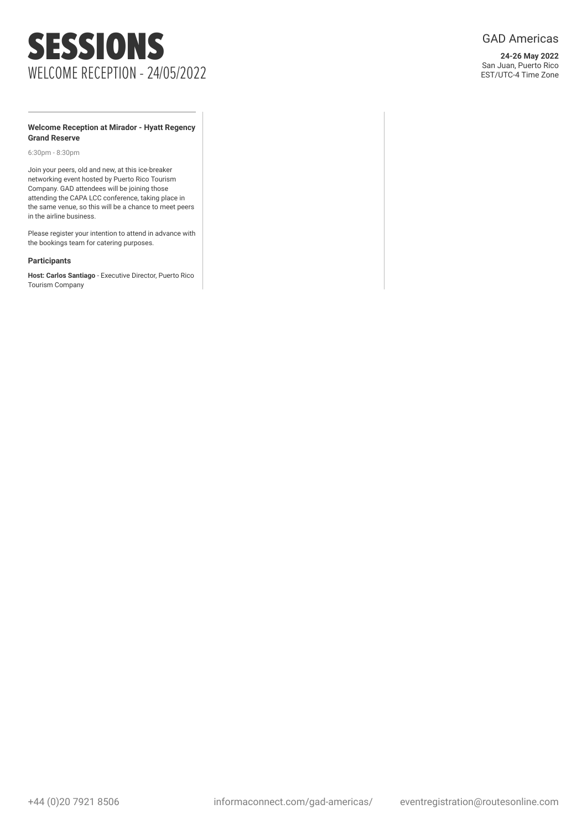# SESSIONS WELCOME RECEPTION - 24/05/2022

### GAD Americas

**24-26 May 2022** San Juan, Puerto Rico EST/UTC-4 Time Zone

#### **Welcome Reception at Mirador - Hyatt Regency Grand Reserve**

6:30pm - 8:30pm

Join your peers, old and new, at this ice-breaker networking event hosted by Puerto Rico Tourism Company. GAD attendees will be joining those attending the CAPA LCC conference, taking place in the same venue, so this will be a chance to meet peers in the airline business.

Please register your intention to attend in advance with the bookings team for catering purposes.

#### **Participants**

**Host: Carlos Santiago** - Executive Director, Puerto Rico Tourism Company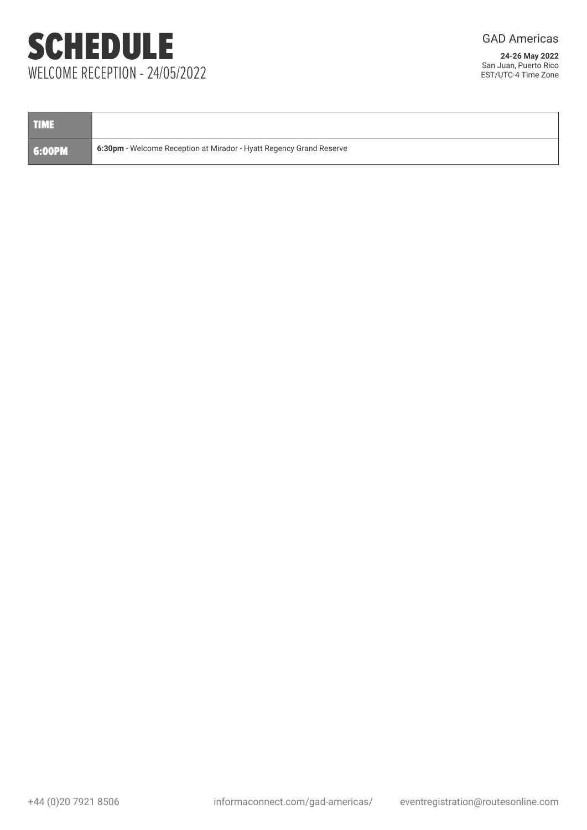# SCHEDULE WELCOME RECEPTION - 24/05/2022

GAD Americas

| <b>TIME</b> |                                                                     |
|-------------|---------------------------------------------------------------------|
| 6:00PM      | 6:30pm - Welcome Reception at Mirador - Hyatt Regency Grand Reserve |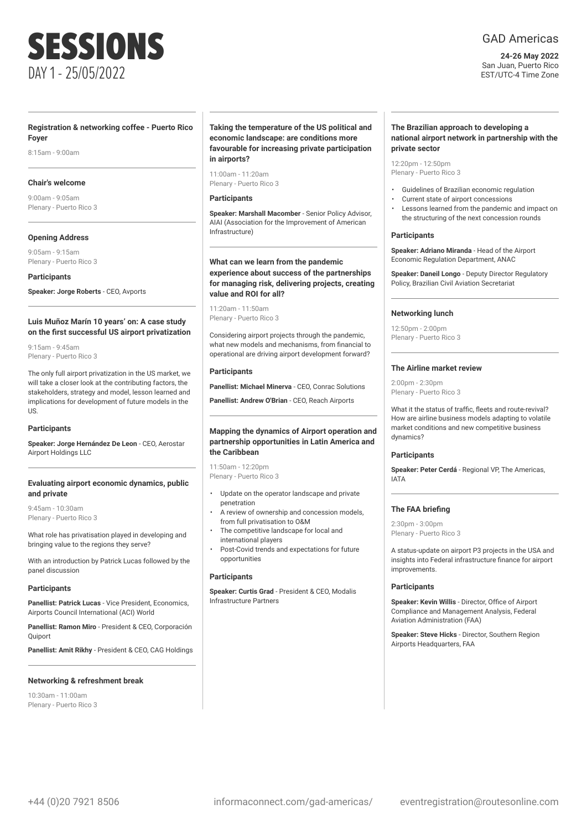## SESSIONS DAY 1 - 25/05/2022

### **Registration & networking coffee - Puerto Rico Foyer**

8:15am - 9:00am

#### **Chair's welcome**

9:00am - 9:05am Plenary - Puerto Rico 3

#### **Opening Address**

9:05am - 9:15am Plenary - Puerto Rico 3

**Participants**

**Speaker: Jorge Roberts** - CEO, Avports

#### **Luis Muñoz Marín 10 years' on: A case study on the first successful US airport privatization**

9:15am - 9:45am Plenary - Puerto Rico 3

The only full airport privatization in the US market, we will take a closer look at the contributing factors, the stakeholders, strategy and model, lesson learned and implications for development of future models in the  $11S$ 

#### **Participants**

**Speaker: Jorge Hernández De Leon** - CEO, Aerostar Airport Holdings LLC

#### **Evaluating airport economic dynamics, public and private**

9:45am - 10:30am Plenary - Puerto Rico 3

What role has privatisation played in developing and bringing value to the regions they serve?

With an introduction by Patrick Lucas followed by the panel discussion

#### **Participants**

**Panellist: Patrick Lucas** - Vice President, Economics, Airports Council International (ACI) World

**Panellist: Ramon Miro** - President & CEO, Corporación **Ouiport** 

**Panellist: Amit Rikhy** - President & CEO, CAG Holdings

#### **Networking & refreshment break**

10:30am - 11:00am Plenary - Puerto Rico 3

#### **Taking the temperature of the US political and economic landscape: are conditions more favourable for increasing private participation in airports?**

11:00am - 11:20am Plenary - Puerto Rico 3

#### **Participants**

**Speaker: Marshall Macomber** - Senior Policy Advisor, AIAI (Association for the Improvement of American Infrastructure)

#### **What can we learn from the pandemic experience about success of the partnerships for managing risk, delivering projects, creating value and ROI for all?**

11:20am - 11:50am Plenary - Puerto Rico 3

Considering airport projects through the pandemic, what new models and mechanisms, from financial to operational are driving airport development forward?

#### **Participants**

**Panellist: Michael Minerva** - CEO, Conrac Solutions

**Panellist: Andrew O'Brian** - CEO, Reach Airports

#### **Mapping the dynamics of Airport operation and partnership opportunities in Latin America and the Caribbean**

11:50am - 12:20pm Plenary - Puerto Rico 3

- Update on the operator landscape and private penetration
- A review of ownership and concession models, from full privatisation to O&M
- The competitive landscape for local and international players
- Post-Covid trends and expectations for future opportunities

#### **Participants**

**Speaker: Curtis Grad** - President & CEO, Modalis Infrastructure Partners

### GAD Americas

**24-26 May 2022** San Juan, Puerto Rico EST/UTC-4 Time Zone

#### **The Brazilian approach to developing a national airport network in partnership with the private sector**

12:20pm - 12:50pm Plenary - Puerto Rico 3

- Guidelines of Brazilian economic regulation
- Current state of airport concessions
- Lessons learned from the pandemic and impact on the structuring of the next concession rounds

#### **Participants**

**Speaker: Adriano Miranda** - Head of the Airport Economic Regulation Department, ANAC

**Speaker: Daneil Longo** - Deputy Director Regulatory Policy, Brazilian Civil Aviation Secretariat

#### **Networking lunch**

12:50pm - 2:00pm Plenary - Puerto Rico 3

#### **The Airline market review**

 $2:00$ pm -  $2:30$ pm Plenary - Puerto Rico 3

What it the status of traffic, fleets and route-revival? How are airline business models adapting to volatile market conditions and new competitive business dynamics?

#### **Participants**

**Speaker: Peter Cerdá** - Regional VP, The Americas, IATA

#### **The FAA briefing**

2:30pm - 3:00pm Plenary - Puerto Rico 3

A status-update on airport P3 projects in the USA and insights into Federal infrastructure finance for airport improvements.

#### **Participants**

**Speaker: Kevin Willis** - Director, Office of Airport Compliance and Management Analysis, Federal Aviation Administration (FAA)

**Speaker: Steve Hicks** - Director, Southern Region Airports Headquarters, FAA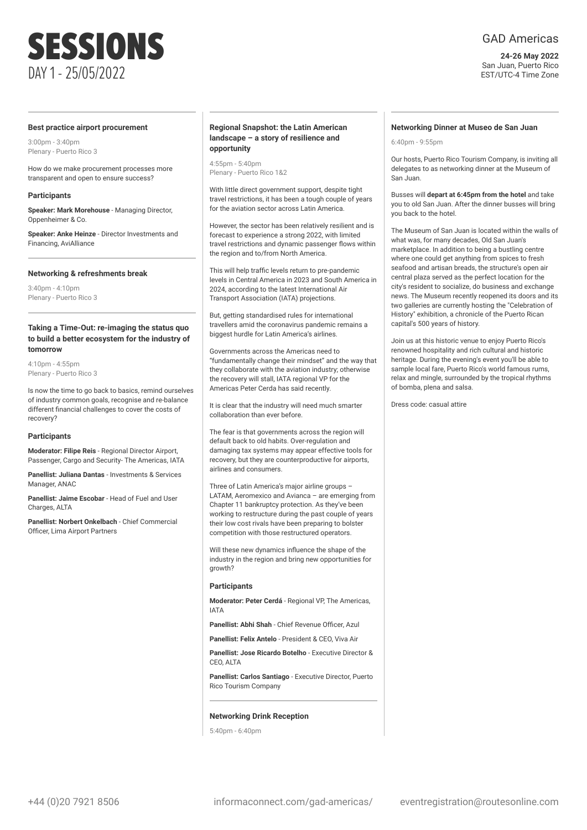# SESSIONS DAY 1 - 25/05/2022

#### **Best practice airport procurement**

3:00pm - 3:40pm Plenary - Puerto Rico 3

How do we make procurement processes more transparent and open to ensure success?

#### **Participants**

**Speaker: Mark Morehouse** - Managing Director, Oppenheimer & Co.

**Speaker: Anke Heinze** - Director Investments and Financing, AviAlliance

#### **Networking & refreshments break**

 $3:40$ pm -  $4:10$ pm Plenary - Puerto Rico 3

#### **Taking a Time-Out: re-imaging the status quo to build a better ecosystem for the industry of tomorrow**

 $4:10$ nm -  $4:55$ nm Plenary - Puerto Rico 3

Is now the time to go back to basics, remind ourselves of industry common goals, recognise and re-balance different financial challenges to cover the costs of recovery?

#### **Participants**

**Moderator: Filipe Reis** - Regional Director Airport, Passenger, Cargo and Security- The Americas, IATA

**Panellist: Juliana Dantas** - Investments & Services Manager, ANAC

**Panellist: Jaime Escobar** - Head of Fuel and User Charges, ALTA

**Panellist: Norbert Onkelbach** - Chief Commercial Officer, Lima Airport Partners

#### **Regional Snapshot: the Latin American landscape – a story of resilience and opportunity**

4:55pm - 5:40pm Plenary - Puerto Rico 1&2

With little direct government support, despite tight travel restrictions, it has been a tough couple of years for the aviation sector across Latin America.

However, the sector has been relatively resilient and is forecast to experience a strong 2022, with limited travel restrictions and dynamic passenger flows within the region and to/from North America.

This will help traffic levels return to pre-pandemic levels in Central America in 2023 and South America in 2024, according to the latest International Air Transport Association (IATA) projections.

But, getting standardised rules for international travellers amid the coronavirus pandemic remains a biggest hurdle for Latin America's airlines.

Governments across the Americas need to "fundamentally change their mindset" and the way that they collaborate with the aviation industry; otherwise the recovery will stall, IATA regional VP for the Americas Peter Cerda has said recently.

It is clear that the industry will need much smarter collaboration than ever before.

The fear is that governments across the region will default back to old habits. Over-regulation and damaging tax systems may appear effective tools for recovery, but they are counterproductive for airports, airlines and consumers.

Three of Latin America's major airline groups – LATAM, Aeromexico and Avianca – are emerging from Chapter 11 bankruptcy protection. As they've been working to restructure during the past couple of years their low cost rivals have been preparing to bolster competition with those restructured operators.

Will these new dynamics influence the shape of the industry in the region and bring new opportunities for growth?

#### **Participants**

**Moderator: Peter Cerdá - Regional VP The Americas** IATA

**Panellist: Abhi Shah** - Chief Revenue Officer, Azul

**Panellist: Felix Antelo** - President & CEO, Viva Air

**Panellist: Jose Ricardo Botelho** - Executive Director & CEO, ALTA

**Panellist: Carlos Santiago** - Executive Director, Puerto Rico Tourism Company

#### **Networking Drink Reception**

 $5:40$ pm - 6:40pm

#### **Networking Dinner at Museo de San Juan**

6:40pm - 9:55pm

Our hosts, Puerto Rico Tourism Company, is inviting all delegates to as networking dinner at the Museum of San Juan.

Busses will **depart at 6:45pm from the hotel** and take you to old San Juan. After the dinner busses will bring you back to the hotel.

The Museum of San Juan is located within the walls of what was, for many decades, Old San Juan's marketplace. In addition to being a bustling centre where one could get anything from spices to fresh seafood and artisan breads, the structure's open air central plaza served as the perfect location for the city's resident to socialize, do business and exchange news. The Museum recently reopened its doors and its two galleries are currently hosting the "Celebration of History" exhibition, a chronicle of the Puerto Rican capital's 500 years of history.

Join us at this historic venue to enjoy Puerto Rico's renowned hospitality and rich cultural and historic heritage. During the evening's event you'll be able to sample local fare, Puerto Rico's world famous rums relax and mingle, surrounded by the tropical rhythms of bomba, plena and salsa.

Dress code: casual attire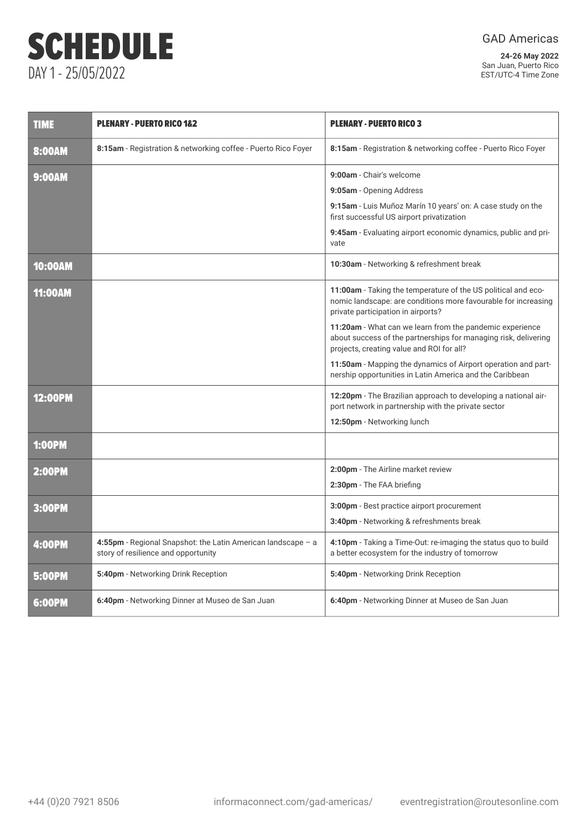# SCHEDULE DAY 1 - 25/05/2022

GAD Americas

| <b>TIME</b>    | <b>PLENARY - PUERTO RICO 1&amp;2</b>                                                                  | <b>PLENARY - PUERTO RICO 3</b>                                                                                                                                           |
|----------------|-------------------------------------------------------------------------------------------------------|--------------------------------------------------------------------------------------------------------------------------------------------------------------------------|
| 8:00AM         | 8:15am - Registration & networking coffee - Puerto Rico Foyer                                         | 8:15am - Registration & networking coffee - Puerto Rico Foyer                                                                                                            |
| <b>9:00AM</b>  |                                                                                                       | 9:00am - Chair's welcome<br>9:05am - Opening Address                                                                                                                     |
|                |                                                                                                       | 9:15am - Luis Muñoz Marín 10 years' on: A case study on the<br>first successful US airport privatization                                                                 |
|                |                                                                                                       | 9:45am - Evaluating airport economic dynamics, public and pri-<br>vate                                                                                                   |
| <b>10:00AM</b> |                                                                                                       | 10:30am - Networking & refreshment break                                                                                                                                 |
| <b>11:00AM</b> |                                                                                                       | 11:00am - Taking the temperature of the US political and eco-<br>nomic landscape: are conditions more favourable for increasing<br>private participation in airports?    |
|                |                                                                                                       | 11:20am - What can we learn from the pandemic experience<br>about success of the partnerships for managing risk, delivering<br>projects, creating value and ROI for all? |
|                |                                                                                                       | 11:50am - Mapping the dynamics of Airport operation and part-<br>nership opportunities in Latin America and the Caribbean                                                |
| <b>12:00PM</b> |                                                                                                       | 12:20pm - The Brazilian approach to developing a national air-<br>port network in partnership with the private sector                                                    |
|                |                                                                                                       | 12:50pm - Networking lunch                                                                                                                                               |
| <b>1:00PM</b>  |                                                                                                       |                                                                                                                                                                          |
| <b>2:00PM</b>  |                                                                                                       | 2:00pm - The Airline market review                                                                                                                                       |
|                |                                                                                                       | 2:30pm - The FAA briefing                                                                                                                                                |
| 3:00PM         |                                                                                                       | 3:00pm - Best practice airport procurement                                                                                                                               |
|                |                                                                                                       | 3:40pm - Networking & refreshments break                                                                                                                                 |
| <b>4:00PM</b>  | 4:55pm - Regional Snapshot: the Latin American landscape $-$ a<br>story of resilience and opportunity | 4:10pm - Taking a Time-Out: re-imaging the status quo to build<br>a better ecosystem for the industry of tomorrow                                                        |
| <b>5:00PM</b>  | 5:40pm - Networking Drink Reception                                                                   | 5:40pm - Networking Drink Reception                                                                                                                                      |
| 6:00PM         | 6:40pm - Networking Dinner at Museo de San Juan                                                       | 6:40pm - Networking Dinner at Museo de San Juan                                                                                                                          |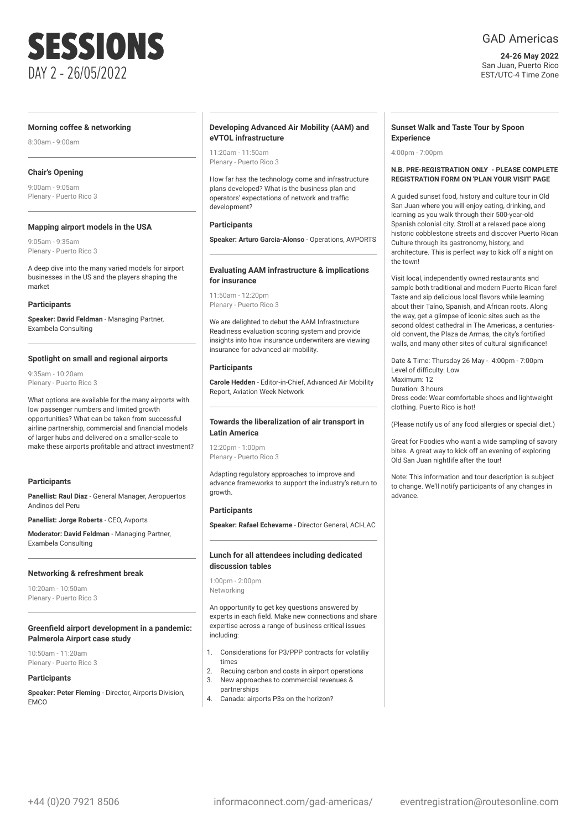

#### **Morning coffee & networking**

8:30am - 9:00am

#### **Chair's Opening**

9:00am - 9:05am Plenary - Puerto Rico 3

#### **Mapping airport models in the USA**

9:05am - 9:35am Plenary - Puerto Rico 3

A deep dive into the many varied models for airport businesses in the US and the players shaping the market

#### **Participants**

**Speaker: David Feldman** - Managing Partner, Exambela Consulting

#### **Spotlight on small and regional airports**

9:35am - 10:20am Plenary - Puerto Rico 3

What options are available for the many airports with low passenger numbers and limited growth opportunities? What can be taken from successful airline partnership, commercial and financial models of larger hubs and delivered on a smaller-scale to make these airports profitable and attract investment?

#### **Participants**

**Panellist: Raul Diaz** - General Manager, Aeropuertos Andinos del Peru

**Panellist: Jorge Roberts** - CEO, Avports

**Moderator: David Feldman** - Managing Partner, Exambela Consulting

#### **Networking & refreshment break**

10:20am - 10:50am Plenary - Puerto Rico 3

#### **Greenfield airport development in a pandemic: Palmerola Airport case study**

10:50am - 11:20am Plenary - Puerto Rico 3

#### **Participants**

**Speaker: Peter Fleming** - Director, Airports Division, **EMCO** 

#### **Developing Advanced Air Mobility (AAM) and eVTOL infrastructure**

11:20am - 11:50am Plenary - Puerto Rico 3

How far has the technology come and infrastructure plans developed? What is the business plan and operators' expectations of network and traffic development?

#### **Participants**

**Speaker: Arturo Garcia-Alonso** - Operations, AVPORTS

#### **Evaluating AAM infrastructure & implications for insurance**

11:50am - 12:20pm Plenary - Puerto Rico 3

We are delighted to debut the AAM Infrastructure Readiness evaluation scoring system and provide insights into how insurance underwriters are viewing insurance for advanced air mobility.

#### **Participants**

**Carole Hedden** - Editor-in-Chief, Advanced Air Mobility Report, Aviation Week Network

#### **Towards the liberalization of air transport in Latin America**

12:20pm - 1:00pm Plenary - Puerto Rico 3

Adapting regulatory approaches to improve and advance frameworks to support the industry's return to growth.

#### **Participants**

**Speaker: Rafael Echevarne** - Director General, ACI-LAC

#### **Lunch for all attendees including dedicated discussion tables**

1:00pm - 2:00pm Networking

An opportunity to get key questions answered by experts in each field. Make new connections and share expertise across a range of business critical issues including:

- 1. Considerations for P3/PPP contracts for volatiliy times
- 2. Recuing carbon and costs in airport operations 3. New approaches to commercial revenues &
- partnerships 4. Canada: airports P3s on the horizon?

#### **Sunset Walk and Taste Tour by Spoon Experience**

4:00pm - 7:00pm

#### **N.B. PRE-REGISTRATION ONLY - PLEASE COMPLETE REGISTRATION FORM ON 'PLAN YOUR VISIT' PAGE**

A guided sunset food, history and culture tour in Old San Juan where you will enjoy eating, drinking, and learning as you walk through their 500-year-old Spanish colonial city. Stroll at a relaxed pace along historic cobblestone streets and discover Puerto Rican Culture through its gastronomy, history, and architecture. This is perfect way to kick off a night on the town!

Visit local, independently owned restaurants and sample both traditional and modern Puerto Rican fare! Taste and sip delicious local flavors while learning about their Taíno, Spanish, and African roots. Along the way, get a glimpse of iconic sites such as the second oldest cathedral in The Americas, a centuriesold convent, the Plaza de Armas, the city's fortified walls, and many other sites of cultural significance!

Date & Time: Thursday 26 May - 4:00pm - 7:00pm Level of difficulty: Low Maximum: 12 Duration: 3 hours Dress code: Wear comfortable shoes and lightweight clothing. Puerto Rico is hot!

(Please notify us of any food allergies or special diet.)

Great for Foodies who want a wide sampling of savory bites. A great way to kick off an evening of exploring Old San Juan nightlife after the tour!

Note: This information and tour description is subject to change. We'll notify participants of any changes in advance.

### GAD Americas